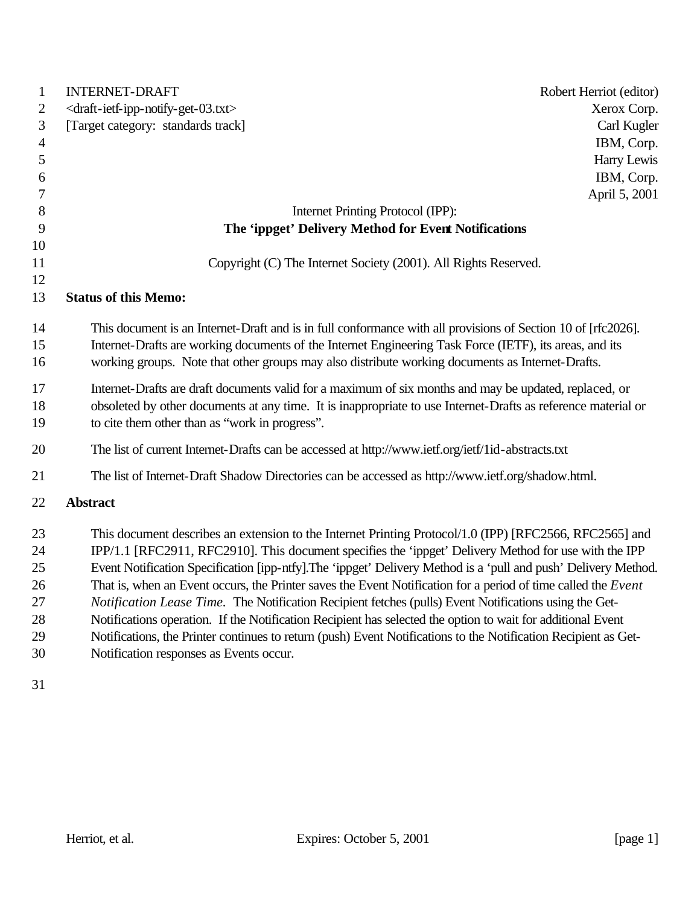| $\mathbf{1}$   | <b>INTERNET-DRAFT</b><br>Robert Herriot (editor)                                                                |
|----------------|-----------------------------------------------------------------------------------------------------------------|
| $\mathbf{2}$   | <draft-ietf-ipp-notify-get-03.txt><br/>Xerox Corp.</draft-ietf-ipp-notify-get-03.txt>                           |
| $\mathfrak{Z}$ | [Target category: standards track]<br>Carl Kugler                                                               |
| $\overline{4}$ | IBM, Corp.                                                                                                      |
| 5              | Harry Lewis                                                                                                     |
| 6              | IBM, Corp.                                                                                                      |
| 7              | April 5, 2001                                                                                                   |
| 8              | Internet Printing Protocol (IPP):                                                                               |
| 9              | The 'ippget' Delivery Method for Event Notifications                                                            |
| 10             |                                                                                                                 |
| 11             | Copyright (C) The Internet Society (2001). All Rights Reserved.                                                 |
| 12             |                                                                                                                 |
| 13             | <b>Status of this Memo:</b>                                                                                     |
| 14             | This document is an Internet-Draft and is in full conformance with all provisions of Section 10 of [rfc2026].   |
| 15             | Internet-Drafts are working documents of the Internet Engineering Task Force (IETF), its areas, and its         |
| 16             | working groups. Note that other groups may also distribute working documents as Internet-Drafts.                |
| 17             | Internet-Drafts are draft documents valid for a maximum of six months and may be updated, replaced, or          |
| 18             | obsoleted by other documents at any time. It is inappropriate to use Internet-Drafts as reference material or   |
| 19             | to cite them other than as "work in progress".                                                                  |
| 20             |                                                                                                                 |
|                | The list of current Internet-Drafts can be accessed at http://www.ietf.org/ietf/1id-abstracts.txt               |
| 21             | The list of Internet-Draft Shadow Directories can be accessed as http://www.ietf.org/shadow.html.               |
| 22             | <b>Abstract</b>                                                                                                 |
| 23             | This document describes an extension to the Internet Printing Protocol/1.0 (IPP) [RFC2566, RFC2565] and         |
| 24             | IPP/1.1 [RFC2911, RFC2910]. This document specifies the 'ippget' Delivery Method for use with the IPP           |
| 25             | Event Notification Specification [ipp-ntfy]. The 'ippget' Delivery Method is a 'pull and push' Delivery Method. |
| 26             | That is, when an Event occurs, the Printer saves the Event Notification for a period of time called the Event   |
| 27             | Notification Lease Time. The Notification Recipient fetches (pulls) Event Notifications using the Get-          |
| 28             | Notifications operation. If the Notification Recipient has selected the option to wait for additional Event     |
| 29             | Notifications, the Printer continues to return (push) Event Notifications to the Notification Recipient as Get- |
| 30             | Notification responses as Events occur.                                                                         |
|                |                                                                                                                 |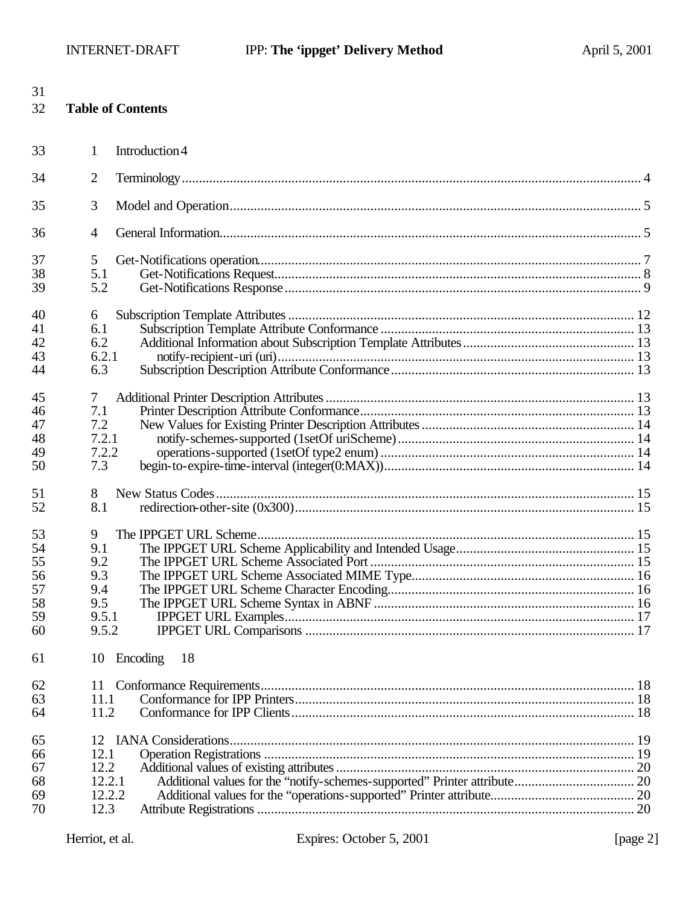| 31<br>32 |                | <b>Table of Contents</b> |  |
|----------|----------------|--------------------------|--|
| 33       | 1              | Introduction 4           |  |
| 34       | $\overline{2}$ |                          |  |
| 35       | 3              |                          |  |
| 36       | $\overline{4}$ |                          |  |
| 37       | 5              |                          |  |
| 38       | 5.1            |                          |  |
| 39       | 5.2            |                          |  |
| 40       | 6              |                          |  |
| 41       | 6.1            |                          |  |
| 42       | 6.2            |                          |  |
| 43       | 6.2.1          |                          |  |
| 44       | 6.3            |                          |  |
| 45       | 7              |                          |  |
| 46       | 7.1            |                          |  |
| 47       | 7.2            |                          |  |
| 48       | 7.2.1          |                          |  |
| 49       | 7.2.2          |                          |  |
| 50       | 7.3            |                          |  |
| 51       | 8              |                          |  |
| 52       | 8.1            |                          |  |
| 53       | 9              |                          |  |
| 54       | 9.1            |                          |  |
| 55       | 9.2            |                          |  |
| 56       | 9.3            |                          |  |
| 57       | 9.4            |                          |  |
| 58       | 9.5            |                          |  |
| 59       | 9.5.1          |                          |  |
| 60       | 9.5.2          |                          |  |
| 61       | 10             | Encoding<br>18           |  |
| 62       | 11             |                          |  |
| 63       | 11.1           |                          |  |
| 64       | 11.2           |                          |  |
| 65       | 12             |                          |  |
| 66       | 12.1           |                          |  |
| 67       | 12.2           |                          |  |
| 68       | 12.2.1         |                          |  |
| 69       | 12.2.2         |                          |  |
| 70       | 12.3           |                          |  |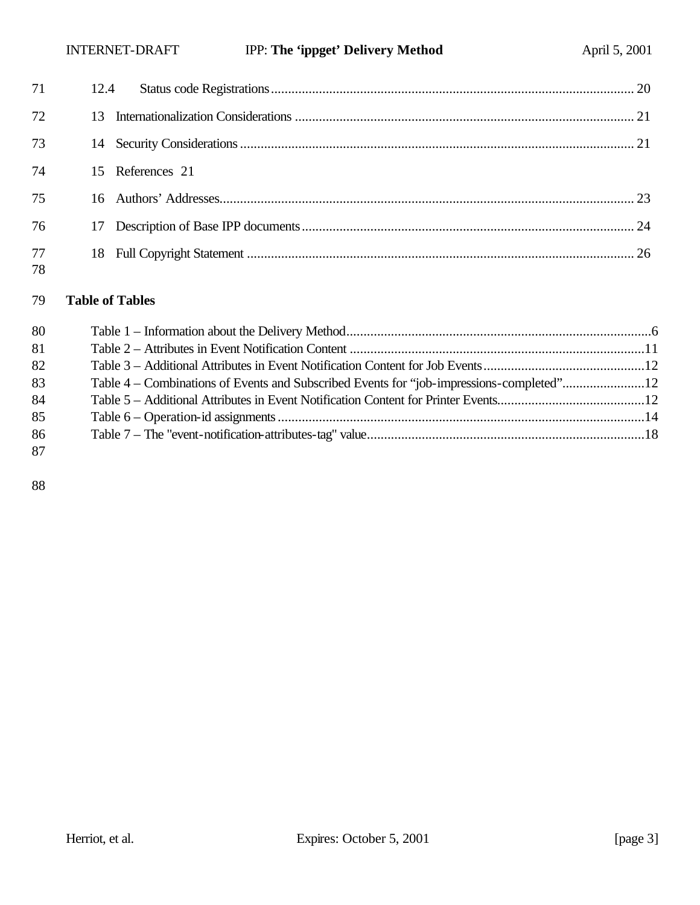| 71       | 12.4 |                  |  |
|----------|------|------------------|--|
| 72       |      |                  |  |
| 73       |      |                  |  |
| 74       |      | 15 References 21 |  |
| 75       |      |                  |  |
| 76       |      |                  |  |
| 77<br>78 |      |                  |  |

#### **Table of Tables**

| 80 |                                                                                          |  |
|----|------------------------------------------------------------------------------------------|--|
| 81 |                                                                                          |  |
| 82 |                                                                                          |  |
| 83 | Table 4 – Combinations of Events and Subscribed Events for "job-impressions-completed"12 |  |
| 84 |                                                                                          |  |
| 85 |                                                                                          |  |
| 86 |                                                                                          |  |
| 87 |                                                                                          |  |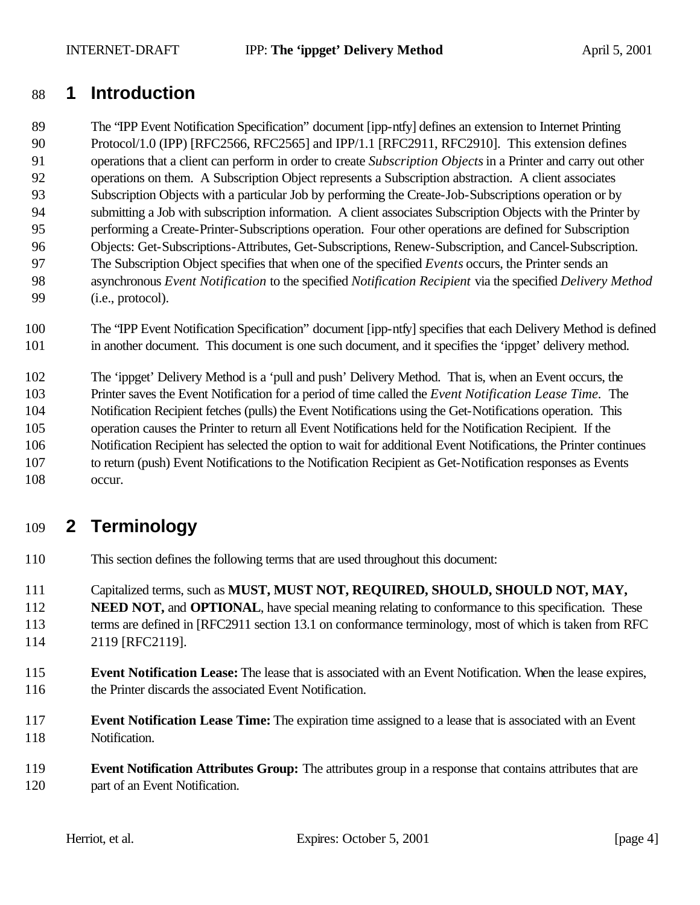# **1 Introduction**

 The "IPP Event Notification Specification" document [ipp-ntfy] defines an extension to Internet Printing 90 Protocol/1.0 (IPP) [RFC2566, RFC2565] and IPP/1.1 [RFC2911, RFC2910]. This extension defines operations that a client can perform in order to create *Subscription Objects* in a Printer and carry out other operations on them. A Subscription Object represents a Subscription abstraction. A client associates Subscription Objects with a particular Job by performing the Create-Job-Subscriptions operation or by submitting a Job with subscription information. A client associates Subscription Objects with the Printer by performing a Create-Printer-Subscriptions operation. Four other operations are defined for Subscription Objects: Get-Subscriptions-Attributes, Get-Subscriptions, Renew-Subscription, and Cancel-Subscription. The Subscription Object specifies that when one of the specified *Events* occurs, the Printer sends an asynchronous *Event Notification* to the specified *Notification Recipient* via the specified *Delivery Method* (i.e., protocol).

 The "IPP Event Notification Specification" document [ipp-ntfy] specifies that each Delivery Method is defined in another document. This document is one such document, and it specifies the 'ippget' delivery method.

 The 'ippget' Delivery Method is a 'pull and push' Delivery Method. That is, when an Event occurs, the Printer saves the Event Notification for a period of time called the *Event Notification Lease Time.* The Notification Recipient fetches (pulls) the Event Notifications using the Get-Notifications operation. This operation causes the Printer to return all Event Notifications held for the Notification Recipient. If the Notification Recipient has selected the option to wait for additional Event Notifications, the Printer continues to return (push) Event Notifications to the Notification Recipient as Get-Notification responses as Events occur.

# **2 Terminology**

This section defines the following terms that are used throughout this document:

Capitalized terms, such as **MUST, MUST NOT, REQUIRED, SHOULD, SHOULD NOT, MAY,** 

**NEED NOT, and OPTIONAL**, have special meaning relating to conformance to this specification. These terms are defined in [RFC2911 section 13.1 on conformance terminology, most of which is taken from RFC 2119 [RFC2119].

- **Event Notification Lease:** The lease that is associated with an Event Notification. When the lease expires, 116 the Printer discards the associated Event Notification.
- **Event Notification Lease Time:** The expiration time assigned to a lease that is associated with an Event Notification.
- **Event Notification Attributes Group:** The attributes group in a response that contains attributes that are part of an Event Notification.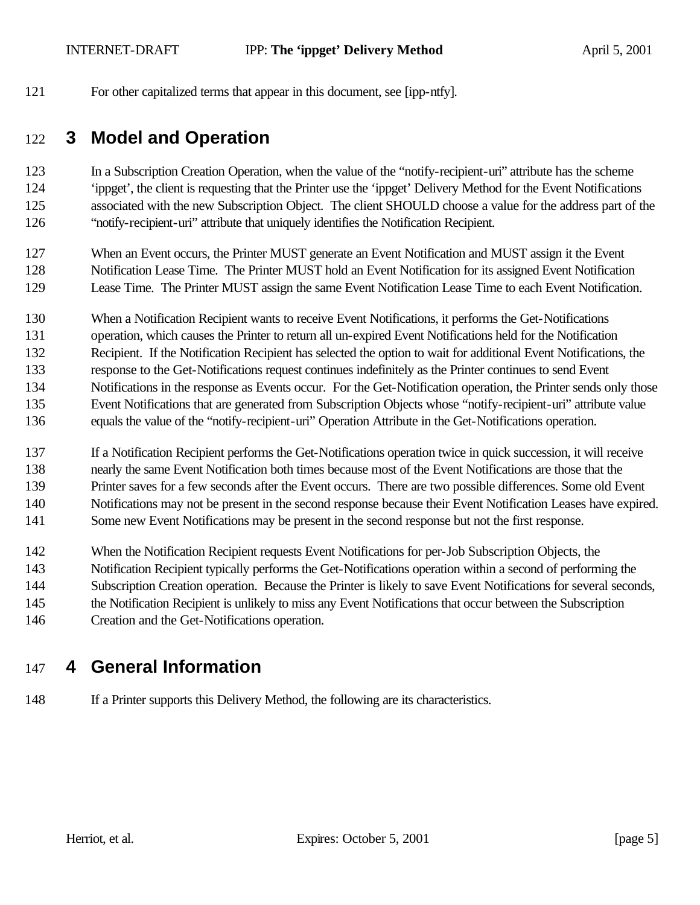For other capitalized terms that appear in this document, see [ipp-ntfy].

# **3 Model and Operation**

 In a Subscription Creation Operation, when the value of the "notify-recipient-uri" attribute has the scheme 'ippget', the client is requesting that the Printer use the 'ippget' Delivery Method for the Event Notifications associated with the new Subscription Object. The client SHOULD choose a value for the address part of the "notify-recipient-uri" attribute that uniquely identifies the Notification Recipient.

 When an Event occurs, the Printer MUST generate an Event Notification and MUST assign it the Event Notification Lease Time. The Printer MUST hold an Event Notification for its assigned Event Notification Lease Time. The Printer MUST assign the same Event Notification Lease Time to each Event Notification.

When a Notification Recipient wants to receive Event Notifications, it performs the Get-Notifications

operation, which causes the Printer to return all un-expired Event Notifications held for the Notification

Recipient. If the Notification Recipient has selected the option to wait for additional Event Notifications, the

response to the Get-Notifications request continues indefinitely as the Printer continues to send Event

 Notifications in the response as Events occur. For the Get-Notification operation, the Printer sends only those Event Notifications that are generated from Subscription Objects whose "notify-recipient-uri" attribute value

- equals the value of the "notify-recipient-uri" Operation Attribute in the Get-Notifications operation.
- If a Notification Recipient performs the Get-Notifications operation twice in quick succession, it will receive
- nearly the same Event Notification both times because most of the Event Notifications are those that the
- Printer saves for a few seconds after the Event occurs. There are two possible differences. Some old Event
- Notifications may not be present in the second response because their Event Notification Leases have expired.
- Some new Event Notifications may be present in the second response but not the first response.
- When the Notification Recipient requests Event Notifications for per-Job Subscription Objects, the
- Notification Recipient typically performs the Get-Notifications operation within a second of performing the
- Subscription Creation operation. Because the Printer is likely to save Event Notifications for several seconds,
- 145 the Notification Recipient is unlikely to miss any Event Notifications that occur between the Subscription
- Creation and the Get-Notifications operation.

# **4 General Information**

If a Printer supports this Delivery Method, the following are its characteristics.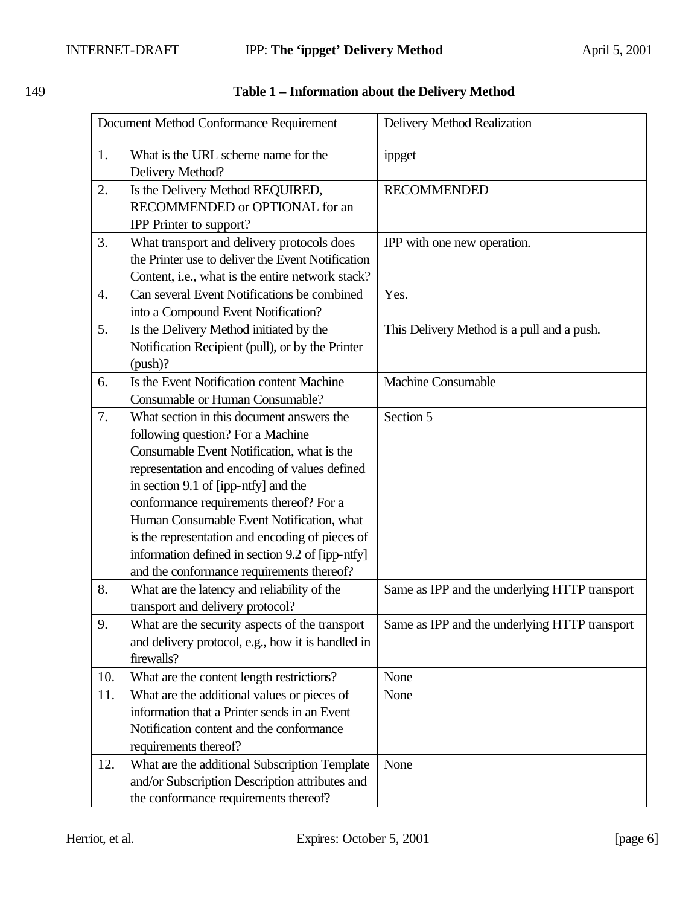| Document Method Conformance Requirement |                                                                                                                                                                                                                                                                                                                                                                                                                                                                   | Delivery Method Realization                   |  |
|-----------------------------------------|-------------------------------------------------------------------------------------------------------------------------------------------------------------------------------------------------------------------------------------------------------------------------------------------------------------------------------------------------------------------------------------------------------------------------------------------------------------------|-----------------------------------------------|--|
| 1.                                      | What is the URL scheme name for the<br>Delivery Method?                                                                                                                                                                                                                                                                                                                                                                                                           | ippget                                        |  |
| 2.                                      | Is the Delivery Method REQUIRED,<br>RECOMMENDED or OPTIONAL for an<br><b>IPP</b> Printer to support?                                                                                                                                                                                                                                                                                                                                                              | <b>RECOMMENDED</b>                            |  |
| 3.                                      | What transport and delivery protocols does<br>the Printer use to deliver the Event Notification<br>Content, i.e., what is the entire network stack?                                                                                                                                                                                                                                                                                                               | IPP with one new operation.                   |  |
| 4.                                      | Can several Event Notifications be combined<br>into a Compound Event Notification?                                                                                                                                                                                                                                                                                                                                                                                | Yes.                                          |  |
| 5.                                      | Is the Delivery Method initiated by the<br>Notification Recipient (pull), or by the Printer<br>(push)?                                                                                                                                                                                                                                                                                                                                                            | This Delivery Method is a pull and a push.    |  |
| 6.                                      | Is the Event Notification content Machine<br>Consumable or Human Consumable?                                                                                                                                                                                                                                                                                                                                                                                      | <b>Machine Consumable</b>                     |  |
| 7.                                      | What section in this document answers the<br>following question? For a Machine<br>Consumable Event Notification, what is the<br>representation and encoding of values defined<br>in section 9.1 of [ipp-ntfy] and the<br>conformance requirements thereof? For a<br>Human Consumable Event Notification, what<br>is the representation and encoding of pieces of<br>information defined in section 9.2 of [ipp-ntfy]<br>and the conformance requirements thereof? | Section 5                                     |  |
| 8.                                      | What are the latency and reliability of the<br>transport and delivery protocol?                                                                                                                                                                                                                                                                                                                                                                                   | Same as IPP and the underlying HTTP transport |  |
| 9.                                      | What are the security aspects of the transport<br>and delivery protocol, e.g., how it is handled in<br>firewalls?                                                                                                                                                                                                                                                                                                                                                 | Same as IPP and the underlying HTTP transport |  |
| 10.                                     | What are the content length restrictions?                                                                                                                                                                                                                                                                                                                                                                                                                         | None                                          |  |
| 11.                                     | What are the additional values or pieces of<br>information that a Printer sends in an Event<br>Notification content and the conformance<br>requirements thereof?                                                                                                                                                                                                                                                                                                  | None                                          |  |
| 12.                                     | What are the additional Subscription Template<br>and/or Subscription Description attributes and<br>the conformance requirements thereof?                                                                                                                                                                                                                                                                                                                          | None                                          |  |

## 149 **Table 1 – Information about the Delivery Method**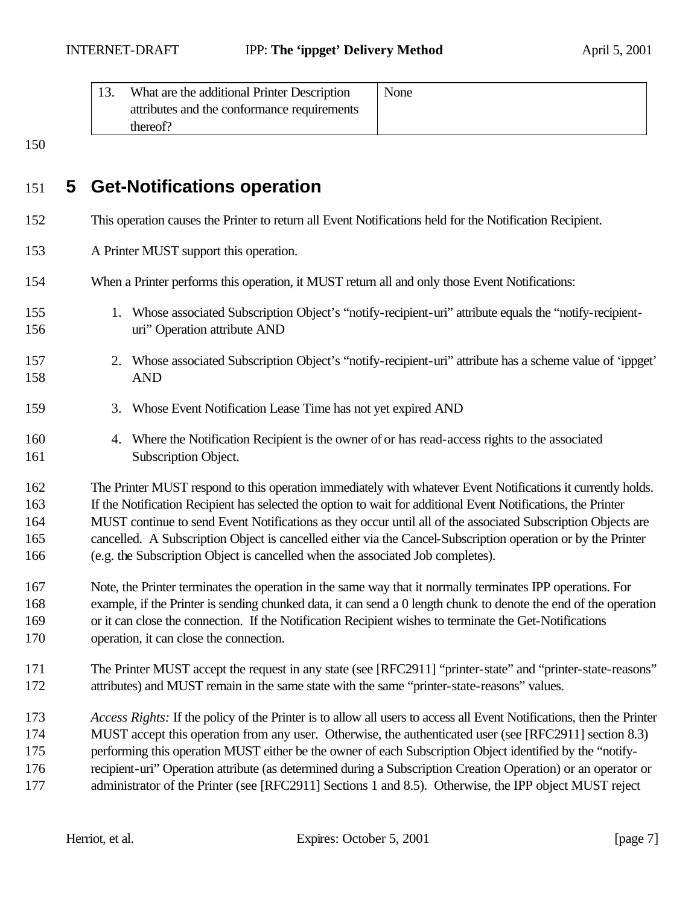| What are the additional Printer Description | None |
|---------------------------------------------|------|
| attributes and the conformance requirements |      |
| thereof?                                    |      |

# **5 Get-Notifications operation**

- This operation causes the Printer to return all Event Notifications held for the Notification Recipient.
- A Printer MUST support this operation.
- When a Printer performs this operation, it MUST return all and only those Event Notifications:
- 1. Whose associated Subscription Object's "notify-recipient-uri" attribute equals the "notify-recipient-uri" Operation attribute AND
- 2. Whose associated Subscription Object's "notify-recipient-uri" attribute has a scheme value of 'ippget' AND
- 3. Whose Event Notification Lease Time has not yet expired AND
- 4. Where the Notification Recipient is the owner of or has read-access rights to the associated 161 Subscription Object.

 The Printer MUST respond to this operation immediately with whatever Event Notifications it currently holds. If the Notification Recipient has selected the option to wait for additional Event Notifications, the Printer MUST continue to send Event Notifications as they occur until all of the associated Subscription Objects are cancelled. A Subscription Object is cancelled either via the Cancel-Subscription operation or by the Printer (e.g. the Subscription Object is cancelled when the associated Job completes).

- Note, the Printer terminates the operation in the same way that it normally terminates IPP operations. For example, if the Printer is sending chunked data, it can send a 0 length chunk to denote the end of the operation or it can close the connection. If the Notification Recipient wishes to terminate the Get-Notifications operation, it can close the connection.
- 171 The Printer MUST accept the request in any state (see [RFC2911] "printer-state" and "printer-state-reasons" attributes) and MUST remain in the same state with the same "printer-state-reasons" values.
- *Access Rights:* If the policy of the Printer is to allow all users to access all Event Notifications, then the Printer
- MUST accept this operation from any user. Otherwise, the authenticated user (see [RFC2911] section 8.3)
- performing this operation MUST either be the owner of each Subscription Object identified by the "notify-
- recipient-uri" Operation attribute (as determined during a Subscription Creation Operation) or an operator or 177 administrator of the Printer (see [RFC2911] Sections 1 and 8.5). Otherwise, the IPP object MUST reject
-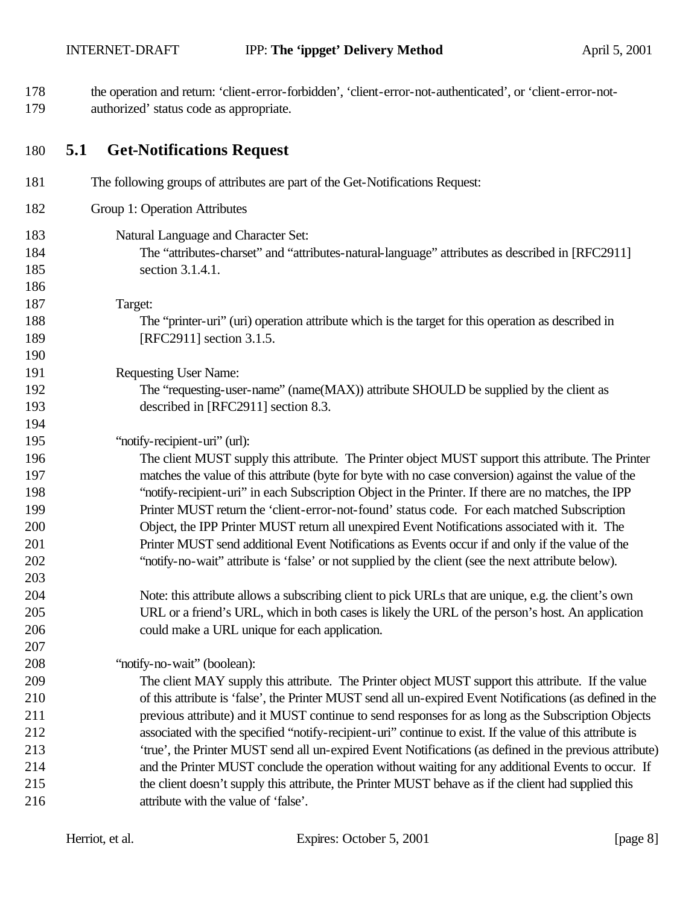the operation and return: 'client-error-forbidden', 'client-error-not-authenticated', or 'client-error-not-authorized' status code as appropriate.

#### **5.1 Get-Notifications Request**

| 181                      | The following groups of attributes are part of the Get-Notifications Request:                                                                              |
|--------------------------|------------------------------------------------------------------------------------------------------------------------------------------------------------|
| 182                      | Group 1: Operation Attributes                                                                                                                              |
| 183<br>184<br>185<br>186 | Natural Language and Character Set:<br>The "attributes-charset" and "attributes-natural-language" attributes as described in [RFC2911]<br>section 3.1.4.1. |
| 187                      | Target:                                                                                                                                                    |
| 188                      | The "printer-uri" (uri) operation attribute which is the target for this operation as described in                                                         |
| 189                      | [RFC2911] section 3.1.5.                                                                                                                                   |
| 190                      |                                                                                                                                                            |
| 191                      | <b>Requesting User Name:</b>                                                                                                                               |
| 192                      | The "requesting-user-name" (name(MAX)) attribute SHOULD be supplied by the client as                                                                       |
| 193                      | described in [RFC2911] section 8.3.                                                                                                                        |
| 194                      |                                                                                                                                                            |
| 195                      | "notify-recipient-uri" (url):                                                                                                                              |
| 196                      | The client MUST supply this attribute. The Printer object MUST support this attribute. The Printer                                                         |
| 197                      | matches the value of this attribute (byte for byte with no case conversion) against the value of the                                                       |
| 198                      | "notify-recipient-uri" in each Subscription Object in the Printer. If there are no matches, the IPP                                                        |
| 199                      | Printer MUST return the 'client-error-not-found' status code. For each matched Subscription                                                                |
| 200                      | Object, the IPP Printer MUST return all unexpired Event Notifications associated with it. The                                                              |
| 201                      | Printer MUST send additional Event Notifications as Events occur if and only if the value of the                                                           |
| 202                      | "notify-no-wait" attribute is 'false' or not supplied by the client (see the next attribute below).                                                        |
| 203                      |                                                                                                                                                            |
| 204                      | Note: this attribute allows a subscribing client to pick URLs that are unique, e.g. the client's own                                                       |
| 205                      | URL or a friend's URL, which in both cases is likely the URL of the person's host. An application                                                          |
| 206                      | could make a URL unique for each application.                                                                                                              |
| 207                      |                                                                                                                                                            |
| 208                      | "notify-no-wait" (boolean):                                                                                                                                |
| 209                      | The client MAY supply this attribute. The Printer object MUST support this attribute. If the value                                                         |
| 210                      | of this attribute is 'false', the Printer MUST send all un-expired Event Notifications (as defined in the                                                  |
| 211                      | previous attribute) and it MUST continue to send responses for as long as the Subscription Objects                                                         |
| 212                      | associated with the specified "notify-recipient-uri" continue to exist. If the value of this attribute is                                                  |
| 213                      | 'true', the Printer MUST send all un-expired Event Notifications (as defined in the previous attribute)                                                    |
| 214                      | and the Printer MUST conclude the operation without waiting for any additional Events to occur. If                                                         |
| 215                      | the client doesn't supply this attribute, the Printer MUST behave as if the client had supplied this                                                       |
| 216                      | attribute with the value of 'false'.                                                                                                                       |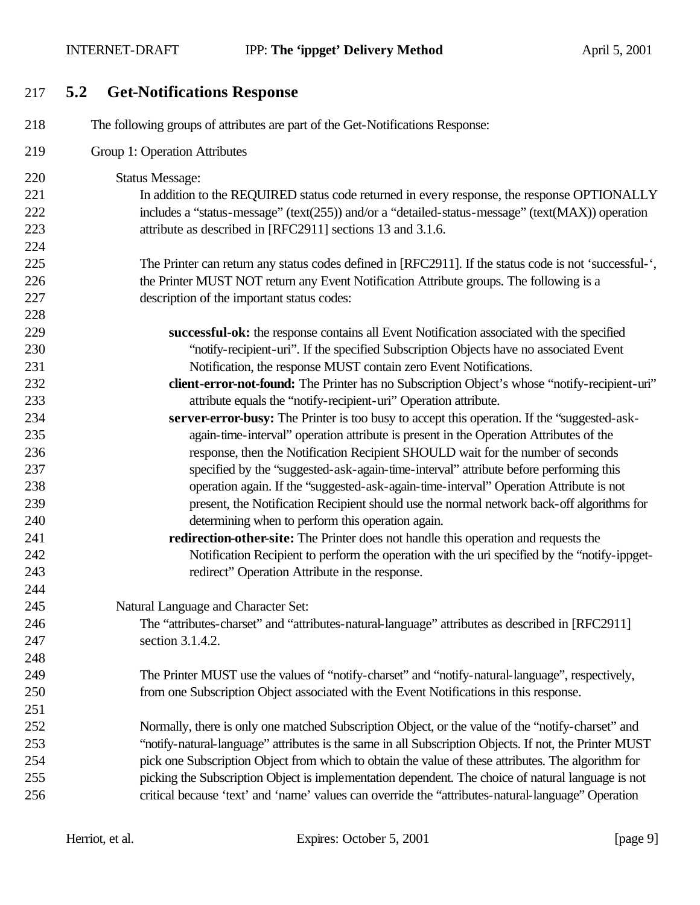INTERNET-DRAFT **IPP:** The 'ippget' Delivery Method April 5, 2001

**5.2 Get-Notifications Response**

| 218 | The following groups of attributes are part of the Get-Notifications Response:                         |
|-----|--------------------------------------------------------------------------------------------------------|
| 219 | Group 1: Operation Attributes                                                                          |
| 220 | <b>Status Message:</b>                                                                                 |
| 221 | In addition to the REQUIRED status code returned in every response, the response OPTIONALLY            |
| 222 | includes a "status-message" (text(255)) and/or a "detailed-status-message" (text(MAX)) operation       |
| 223 | attribute as described in [RFC2911] sections 13 and 3.1.6.                                             |
| 224 |                                                                                                        |
| 225 | The Printer can return any status codes defined in [RFC2911]. If the status code is not 'successful-', |
| 226 | the Printer MUST NOT return any Event Notification Attribute groups. The following is a                |
| 227 | description of the important status codes:                                                             |
| 228 |                                                                                                        |
| 229 | successful-ok: the response contains all Event Notification associated with the specified              |
| 230 | "notify-recipient-uri". If the specified Subscription Objects have no associated Event                 |
| 231 | Notification, the response MUST contain zero Event Notifications.                                      |
| 232 | client-error-not-found: The Printer has no Subscription Object's whose "notify-recipient-uri"          |
| 233 | attribute equals the "notify-recipient-uri" Operation attribute.                                       |
| 234 | server-error-busy: The Printer is too busy to accept this operation. If the "suggested-ask-            |
| 235 | again-time-interval" operation attribute is present in the Operation Attributes of the                 |
| 236 | response, then the Notification Recipient SHOULD wait for the number of seconds                        |
| 237 | specified by the "suggested-ask-again-time-interval" attribute before performing this                  |
| 238 | operation again. If the "suggested-ask-again-time-interval" Operation Attribute is not                 |
| 239 | present, the Notification Recipient should use the normal network back-off algorithms for              |
| 240 | determining when to perform this operation again.                                                      |
| 241 | redirection-other-site: The Printer does not handle this operation and requests the                    |
| 242 | Notification Recipient to perform the operation with the uri specified by the "notify-ippget-          |
| 243 | redirect" Operation Attribute in the response.                                                         |
| 244 |                                                                                                        |
| 245 | Natural Language and Character Set:                                                                    |
| 246 | The "attributes-charset" and "attributes-natural-language" attributes as described in [RFC2911]        |
| 247 | section 3.1.4.2.                                                                                       |
| 248 |                                                                                                        |
| 249 | The Printer MUST use the values of "notify-charset" and "notify-natural-language", respectively,       |
| 250 | from one Subscription Object associated with the Event Notifications in this response.                 |
| 251 |                                                                                                        |
| 252 | Normally, there is only one matched Subscription Object, or the value of the "notify-charset" and      |
| 253 | "notify-natural-language" attributes is the same in all Subscription Objects. If not, the Printer MUST |
| 254 | pick one Subscription Object from which to obtain the value of these attributes. The algorithm for     |
| 255 | picking the Subscription Object is implementation dependent. The choice of natural language is not     |
| 256 | critical because 'text' and 'name' values can override the "attributes-natural-language" Operation     |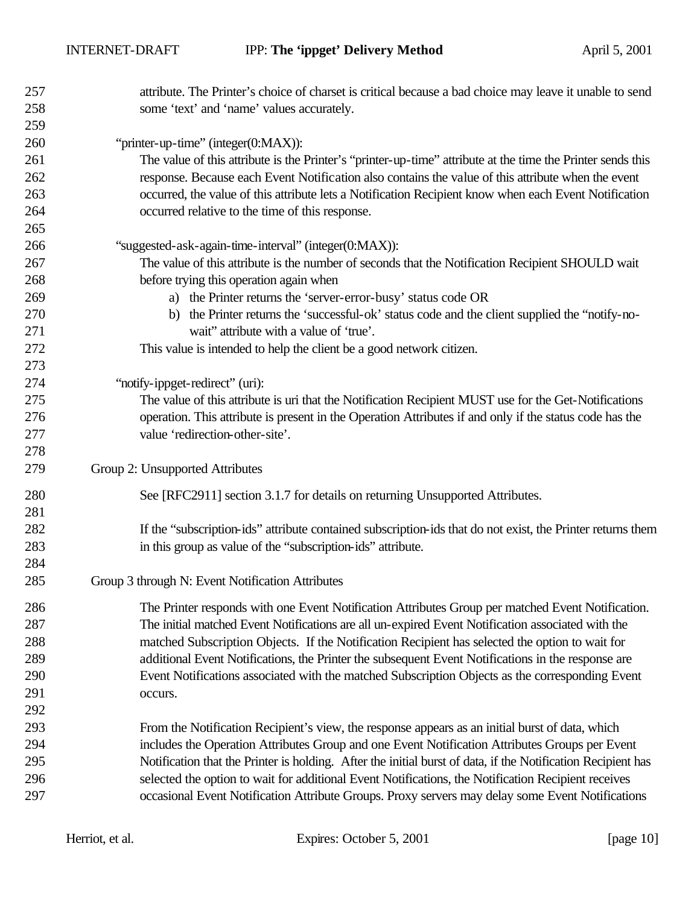| 257        | attribute. The Printer's choice of charset is critical because a bad choice may leave it unable to send                                   |
|------------|-------------------------------------------------------------------------------------------------------------------------------------------|
| 258        | some 'text' and 'name' values accurately.                                                                                                 |
| 259        |                                                                                                                                           |
| 260        | "printer-up-time" (integer(0:MAX)):                                                                                                       |
| 261        | The value of this attribute is the Printer's "printer-up-time" attribute at the time the Printer sends this                               |
| 262        | response. Because each Event Notification also contains the value of this attribute when the event                                        |
| 263        | occurred, the value of this attribute lets a Notification Recipient know when each Event Notification                                     |
| 264        | occurred relative to the time of this response.                                                                                           |
| 265        |                                                                                                                                           |
| 266        | "suggested-ask-again-time-interval" (integer(0:MAX)):                                                                                     |
| 267        | The value of this attribute is the number of seconds that the Notification Recipient SHOULD wait                                          |
| 268        | before trying this operation again when                                                                                                   |
| 269        | a) the Printer returns the 'server-error-busy' status code OR                                                                             |
| 270<br>271 | b) the Printer returns the 'successful-ok' status code and the client supplied the "notify-no-<br>wait" attribute with a value of 'true'. |
| 272        | This value is intended to help the client be a good network citizen.                                                                      |
| 273        |                                                                                                                                           |
| 274        | "notify-ippget-redirect" (uri):                                                                                                           |
| 275        | The value of this attribute is uri that the Notification Recipient MUST use for the Get-Notifications                                     |
| 276        | operation. This attribute is present in the Operation Attributes if and only if the status code has the                                   |
| 277        | value 'redirection-other-site'.                                                                                                           |
| 278        |                                                                                                                                           |
| 279        | Group 2: Unsupported Attributes                                                                                                           |
| 280        | See [RFC2911] section 3.1.7 for details on returning Unsupported Attributes.                                                              |
| 281        |                                                                                                                                           |
| 282        | If the "subscription-ids" attribute contained subscription-ids that do not exist, the Printer returns them                                |
| 283        | in this group as value of the "subscription-ids" attribute.                                                                               |
| 284        |                                                                                                                                           |
| 285        | Group 3 through N: Event Notification Attributes                                                                                          |
| 286        | The Printer responds with one Event Notification Attributes Group per matched Event Notification.                                         |
| 287        | The initial matched Event Notifications are all un-expired Event Notification associated with the                                         |
| 288        | matched Subscription Objects. If the Notification Recipient has selected the option to wait for                                           |
| 289        | additional Event Notifications, the Printer the subsequent Event Notifications in the response are                                        |
| 290        | Event Notifications associated with the matched Subscription Objects as the corresponding Event                                           |
| 291        | occurs.                                                                                                                                   |
| 292        |                                                                                                                                           |
| 293        | From the Notification Recipient's view, the response appears as an initial burst of data, which                                           |
| 294        | includes the Operation Attributes Group and one Event Notification Attributes Groups per Event                                            |
| 295        | Notification that the Printer is holding. After the initial burst of data, if the Notification Recipient has                              |
| 296        | selected the option to wait for additional Event Notifications, the Notification Recipient receives                                       |
| 297        | occasional Event Notification Attribute Groups. Proxy servers may delay some Event Notifications                                          |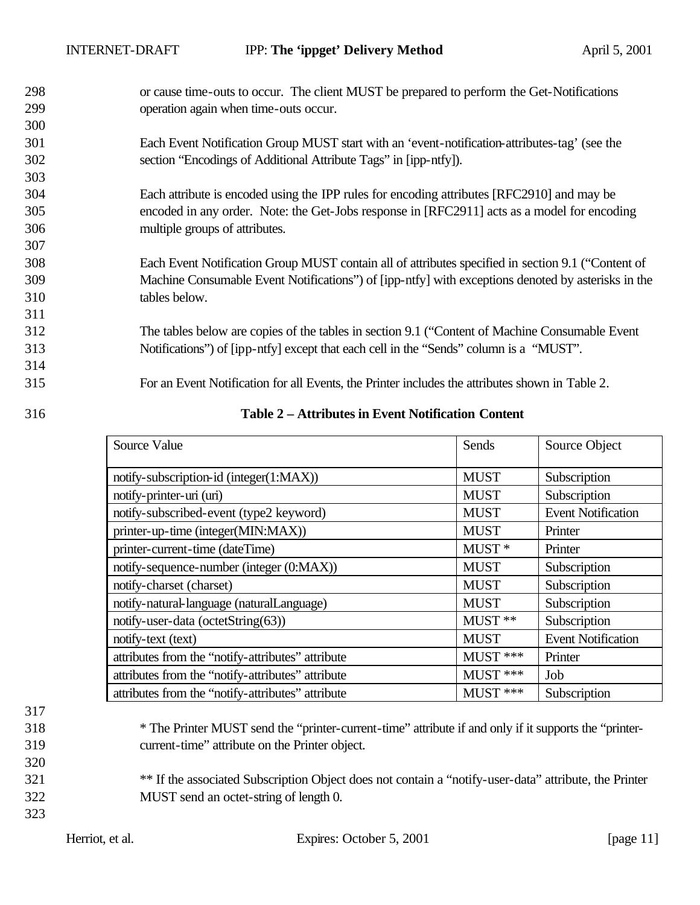298 or cause time-outs to occur. The client MUST be prepared to perform the Get-Notifications 299 operation again when time-outs occur.

- 301 Each Event Notification Group MUST start with an 'event-notification-attributes-tag' (see the 302 section "Encodings of Additional Attribute Tags" in [ipp-ntfy]).
- 304 Each attribute is encoded using the IPP rules for encoding attributes [RFC2910] and may be 305 encoded in any order. Note: the Get-Jobs response in [RFC2911] acts as a model for encoding 306 multiple groups of attributes.
- 308 Each Event Notification Group MUST contain all of attributes specified in section 9.1 ("Content of 309 Machine Consumable Event Notifications") of [ipp-ntfy] with exceptions denoted by asterisks in the 310 tables below.
- 312 The tables below are copies of the tables in section 9.1 ("Content of Machine Consumable Event 313 Notifications") of [ipp-ntfy] except that each cell in the "Sends" column is a "MUST".

315 For an Event Notification for all Events, the Printer includes the attributes shown in Table 2.

314

300

303

307

311

316 **Table 2 – Attributes in Event Notification Content**

| Source Value                                      | Sends       | Source Object             |
|---------------------------------------------------|-------------|---------------------------|
| notify-subscription-id (integer(1:MAX))           | <b>MUST</b> | Subscription              |
| notify-printer-uri (uri)                          | <b>MUST</b> | Subscription              |
| notify-subscribed-event (type2 keyword)           | <b>MUST</b> | <b>Event Notification</b> |
| printer-up-time (integer(MIN:MAX))                | <b>MUST</b> | Printer                   |
| printer-current-time (dateTime)                   | $MUST*$     | Printer                   |
| notify-sequence-number (integer (0:MAX))          | <b>MUST</b> | Subscription              |
| notify-charset (charset)                          | <b>MUST</b> | Subscription              |
| notify-natural-language (naturalLanguage)         | <b>MUST</b> | Subscription              |
| notify-user-data (octetString(63))                | MUST **     | Subscription              |
| notify-text (text)                                | <b>MUST</b> | <b>Event Notification</b> |
| attributes from the "notify-attributes" attribute | $MUST$ ***  | Printer                   |
| attributes from the "notify-attributes" attribute | $MUST$ ***  | Job                       |
| attributes from the "notify-attributes" attribute | $MUST$ ***  | Subscription              |

## 317

318 \* The Printer MUST send the "printer-current-time" attribute if and only if it supports the "printer-319 current-time" attribute on the Printer object.

320

- <sup>\*\*</sup> If the associated Subscription Object does not contain a "notify-user-data" attribute, the Printer 322 MUST send an octet-string of length 0.
- 323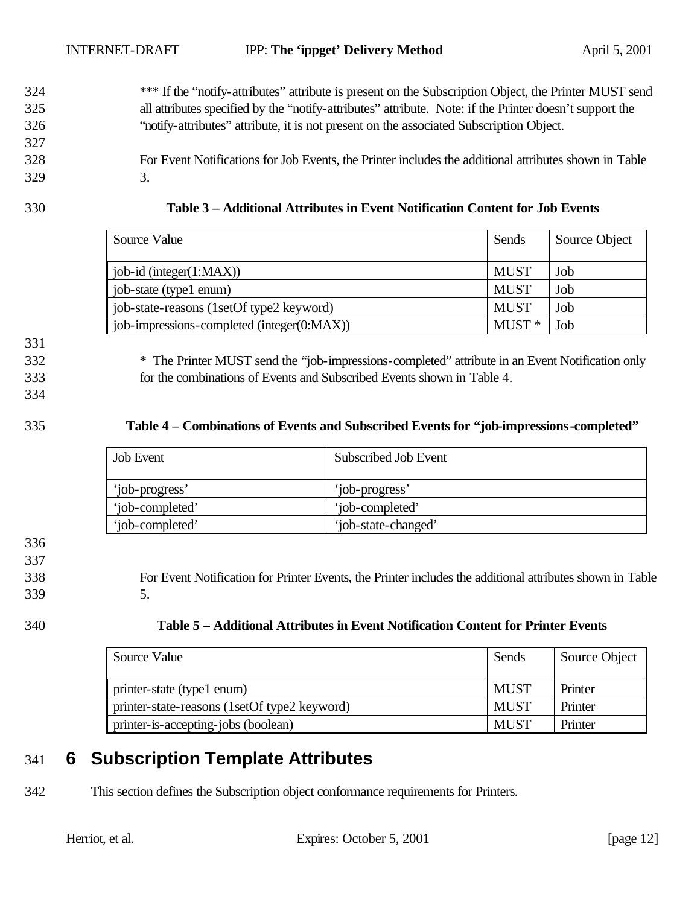- 324 \*\*\* If the "notify-attributes" attribute is present on the Subscription Object, the Printer MUST send 325 all attributes specified by the "notify-attributes" attribute. Note: if the Printer doesn't support the 326 "notify-attributes" attribute, it is not present on the associated Subscription Object.
- 328 For Event Notifications for Job Events, the Printer includes the additional attributes shown in Table 329 3.
- 

| 330 | Table 3 – Additional Attributes in Event Notification Content for Job Events |
|-----|------------------------------------------------------------------------------|
|-----|------------------------------------------------------------------------------|

| Source Value                               | Sends       | Source Object |
|--------------------------------------------|-------------|---------------|
| $job-id$ (integer $(1:MAX)$ )              | <b>MUST</b> | Job           |
| job-state (type1 enum)                     | <b>MUST</b> | Job           |
| job-state-reasons (1setOf type2 keyword)   | <b>MUST</b> | Job           |
| job-impressions-completed (integer(0:MAX)) | $MUST*$     | Job           |

331

332 \* The Printer MUST send the "job-impressions-completed" attribute in an Event Notification only 333 for the combinations of Events and Subscribed Events shown in Table 4.

334

### 335 **Table 4 – Combinations of Events and Subscribed Events for "job-impressions-completed"**

| <b>Job Event</b> | Subscribed Job Event |
|------------------|----------------------|
| 'job-progress'   | 'job-progress'       |
| 'job-completed'  | 'job-completed'      |
| 'job-completed'  | 'job-state-changed'  |

336

337

338 For Event Notification for Printer Events, the Printer includes the additional attributes shown in Table

339 5.

| 340<br>Table 5 – Additional Attributes in Event Notification Content for Printer Events |  |
|-----------------------------------------------------------------------------------------|--|
|-----------------------------------------------------------------------------------------|--|

| Source Value                                 | Sends       | Source Object |
|----------------------------------------------|-------------|---------------|
| printer-state (type1 enum)                   | <b>MUST</b> | Printer       |
| printer-state-reasons (1setOf type2 keyword) | <b>MUST</b> | Printer       |
| printer-is-accepting-jobs (boolean)          | <b>MUST</b> | Printer       |

# 341 **6 Subscription Template Attributes**

342 This section defines the Subscription object conformance requirements for Printers.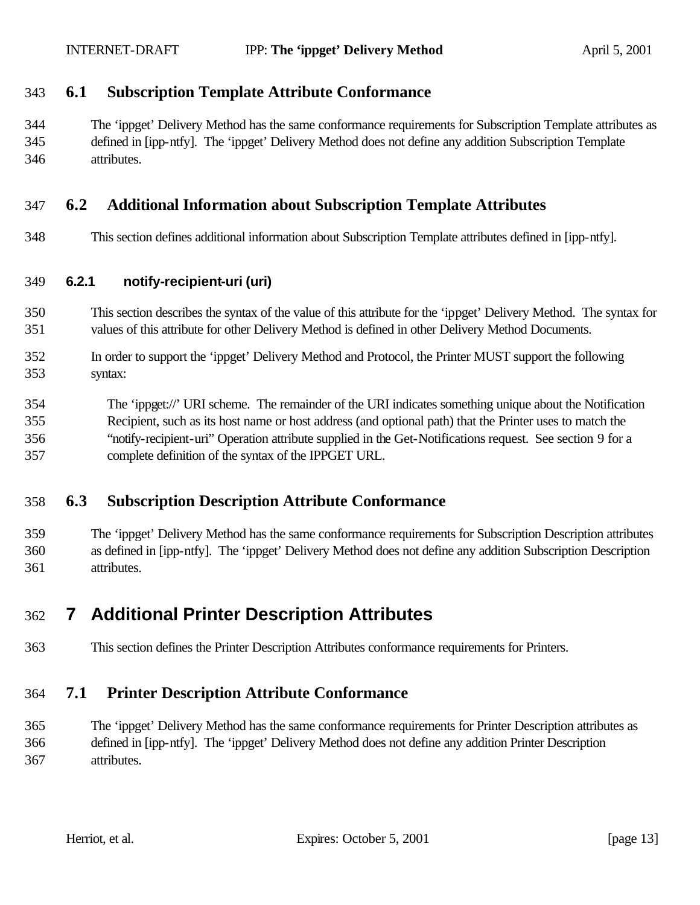#### **6.1 Subscription Template Attribute Conformance**

 The 'ippget' Delivery Method has the same conformance requirements for Subscription Template attributes as defined in [ipp-ntfy]. The 'ippget' Delivery Method does not define any addition Subscription Template attributes.

#### **6.2 Additional Information about Subscription Template Attributes**

This section defines additional information about Subscription Template attributes defined in [ipp-ntfy].

#### **6.2.1 notify-recipient-uri (uri)**

- This section describes the syntax of the value of this attribute for the 'ippget' Delivery Method. The syntax for values of this attribute for other Delivery Method is defined in other Delivery Method Documents.
- In order to support the 'ippget' Delivery Method and Protocol, the Printer MUST support the following syntax:
- The 'ippget://' URI scheme. The remainder of the URI indicates something unique about the Notification Recipient, such as its host name or host address (and optional path) that the Printer uses to match the "notify-recipient-uri" Operation attribute supplied in the Get-Notifications request. See section 9 for a complete definition of the syntax of the IPPGET URL.

#### **6.3 Subscription Description Attribute Conformance**

 The 'ippget' Delivery Method has the same conformance requirements for Subscription Description attributes as defined in [ipp-ntfy]. The 'ippget' Delivery Method does not define any addition Subscription Description attributes.

# **7 Additional Printer Description Attributes**

This section defines the Printer Description Attributes conformance requirements for Printers.

## **7.1 Printer Description Attribute Conformance**

 The 'ippget' Delivery Method has the same conformance requirements for Printer Description attributes as defined in [ipp-ntfy]. The 'ippget' Delivery Method does not define any addition Printer Description attributes.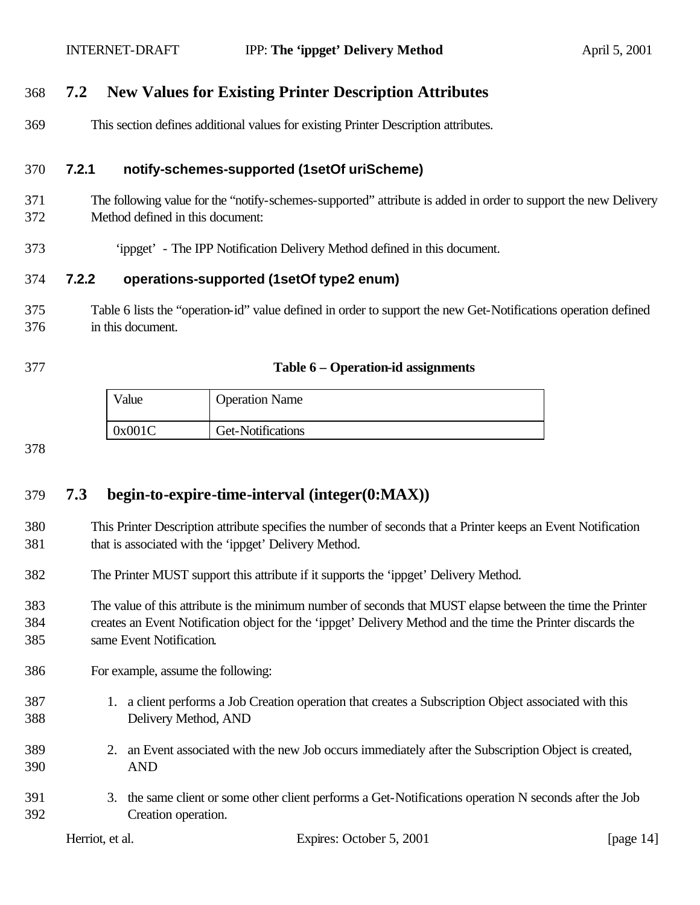## **7.2 New Values for Existing Printer Description Attributes**

This section defines additional values for existing Printer Description attributes.

#### **7.2.1 notify-schemes-supported (1setOf uriScheme)**

- The following value for the "notify-schemes-supported" attribute is added in order to support the new Delivery Method defined in this document:
- 'ippget' The IPP Notification Delivery Method defined in this document.

#### **7.2.2 operations-supported (1setOf type2 enum)**

- Table 6 lists the "operation-id" value defined in order to support the new Get-Notifications operation defined in this document.
- 

#### **Table 6 – Operation-id assignments**

| Value  | <b>Operation Name</b> |
|--------|-----------------------|
| 0x001C | Get-Notifications     |

#### 

## **7.3 begin-to-expire-time-interval (integer(0:MAX))**

- This Printer Description attribute specifies the number of seconds that a Printer keeps an Event Notification that is associated with the 'ippget' Delivery Method.
- The Printer MUST support this attribute if it supports the 'ippget' Delivery Method.
- The value of this attribute is the minimum number of seconds that MUST elapse between the time the Printer creates an Event Notification object for the 'ippget' Delivery Method and the time the Printer discards the same Event Notification.
- For example, assume the following:
- 1. a client performs a Job Creation operation that creates a Subscription Object associated with this Delivery Method, AND
- 2. an Event associated with the new Job occurs immediately after the Subscription Object is created, AND
- 3. the same client or some other client performs a Get-Notifications operation N seconds after the Job Creation operation.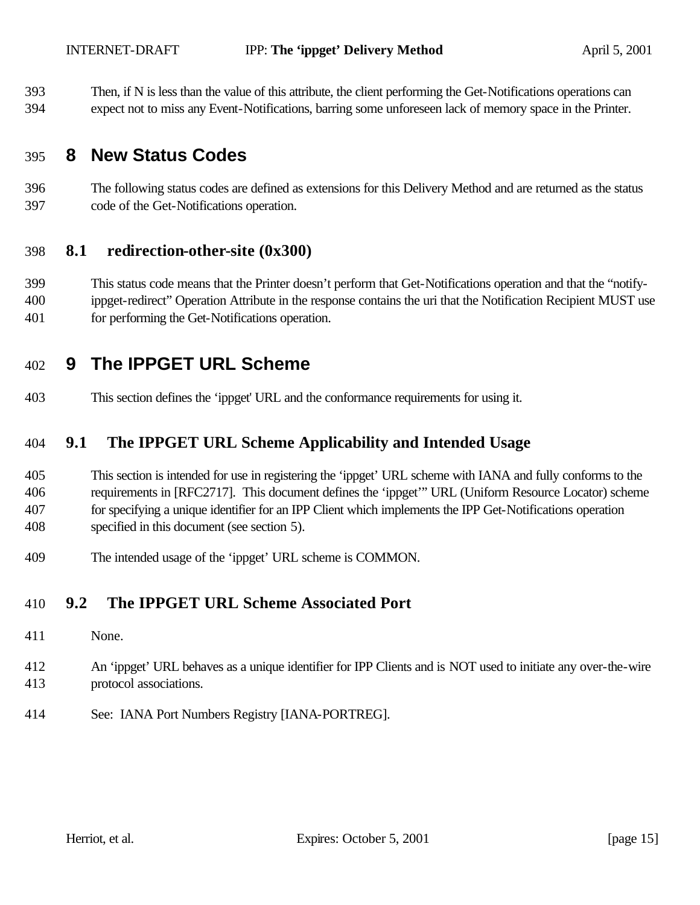Then, if N is less than the value of this attribute, the client performing the Get-Notifications operations can

expect not to miss any Event-Notifications, barring some unforeseen lack of memory space in the Printer.

# **8 New Status Codes**

 The following status codes are defined as extensions for this Delivery Method and are returned as the status code of the Get-Notifications operation.

## **8.1 redirection-other-site (0x300)**

 This status code means that the Printer doesn't perform that Get-Notifications operation and that the "notify- ippget-redirect" Operation Attribute in the response contains the uri that the Notification Recipient MUST use for performing the Get-Notifications operation.

# **9 The IPPGET URL Scheme**

This section defines the 'ippget' URL and the conformance requirements for using it.

## **9.1 The IPPGET URL Scheme Applicability and Intended Usage**

 This section is intended for use in registering the 'ippget' URL scheme with IANA and fully conforms to the requirements in [RFC2717]. This document defines the 'ippget'" URL (Uniform Resource Locator) scheme for specifying a unique identifier for an IPP Client which implements the IPP Get-Notifications operation specified in this document (see section 5).

The intended usage of the 'ippget' URL scheme is COMMON.

## **9.2 The IPPGET URL Scheme Associated Port**

- None.
- An 'ippget' URL behaves as a unique identifier for IPP Clients and is NOT used to initiate any over-the-wire protocol associations.
- See: IANA Port Numbers Registry [IANA-PORTREG].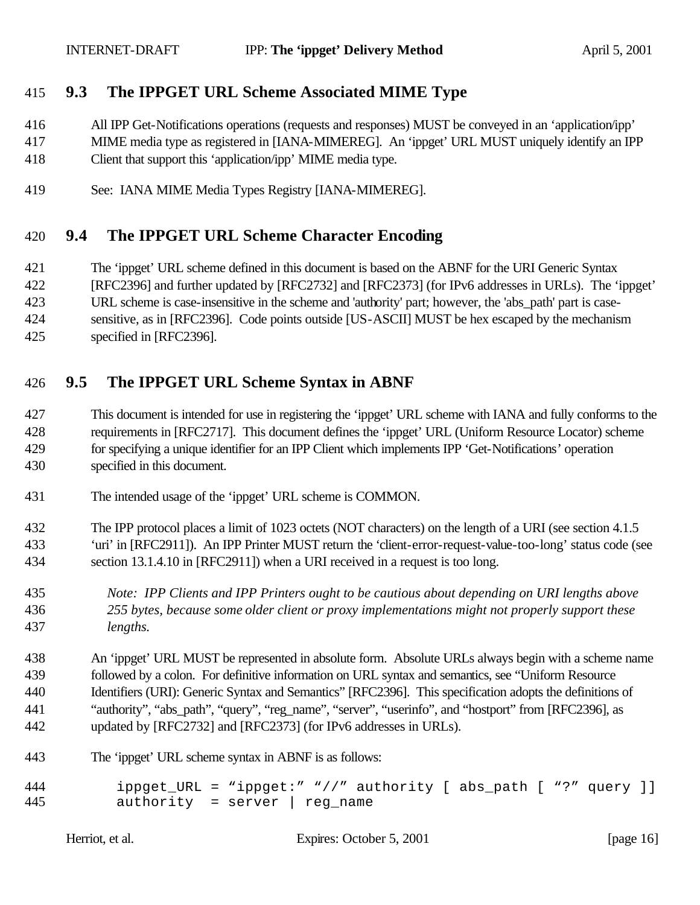## **9.3 The IPPGET URL Scheme Associated MIME Type**

All IPP Get-Notifications operations (requests and responses) MUST be conveyed in an 'application/ipp'

- MIME media type as registered in [IANA-MIMEREG]. An 'ippget' URL MUST uniquely identify an IPP Client that support this 'application/ipp' MIME media type.
- See: IANA MIME Media Types Registry [IANA-MIMEREG].

### **9.4 The IPPGET URL Scheme Character Encoding**

- The 'ippget' URL scheme defined in this document is based on the ABNF for the URI Generic Syntax
- [RFC2396] and further updated by [RFC2732] and [RFC2373] (for IPv6 addresses in URLs). The 'ippget'

URL scheme is case-insensitive in the scheme and 'authority' part; however, the 'abs\_path' part is case-

sensitive, as in [RFC2396]. Code points outside [US-ASCII] MUST be hex escaped by the mechanism

specified in [RFC2396].

## **9.5 The IPPGET URL Scheme Syntax in ABNF**

 This document is intended for use in registering the 'ippget' URL scheme with IANA and fully conforms to the requirements in [RFC2717]. This document defines the 'ippget' URL (Uniform Resource Locator) scheme for specifying a unique identifier for an IPP Client which implements IPP 'Get-Notifications' operation specified in this document.

- The intended usage of the 'ippget' URL scheme is COMMON.
- The IPP protocol places a limit of 1023 octets (NOT characters) on the length of a URI (see section 4.1.5 'uri' in [RFC2911]). An IPP Printer MUST return the 'client-error-request-value-too-long' status code (see
- section 13.1.4.10 in [RFC2911]) when a URI received in a request is too long.
- *Note: IPP Clients and IPP Printers ought to be cautious about depending on URI lengths above 255 bytes, because some older client or proxy implementations might not properly support these lengths.*

 An 'ippget' URL MUST be represented in absolute form. Absolute URLs always begin with a scheme name followed by a colon. For definitive information on URL syntax and semantics, see "Uniform Resource Identifiers (URI): Generic Syntax and Semantics" [RFC2396]. This specification adopts the definitions of "authority", "abs\_path", "query", "reg\_name", "server", "userinfo", and "hostport" from [RFC2396], as updated by [RFC2732] and [RFC2373] (for IPv6 addresses in URLs).

- The 'ippget' URL scheme syntax in ABNF is as follows:
- 444 ippget URL = "ippget:" "//" authority [ abs\_path [ "?" query ]] authority = server | reg\_name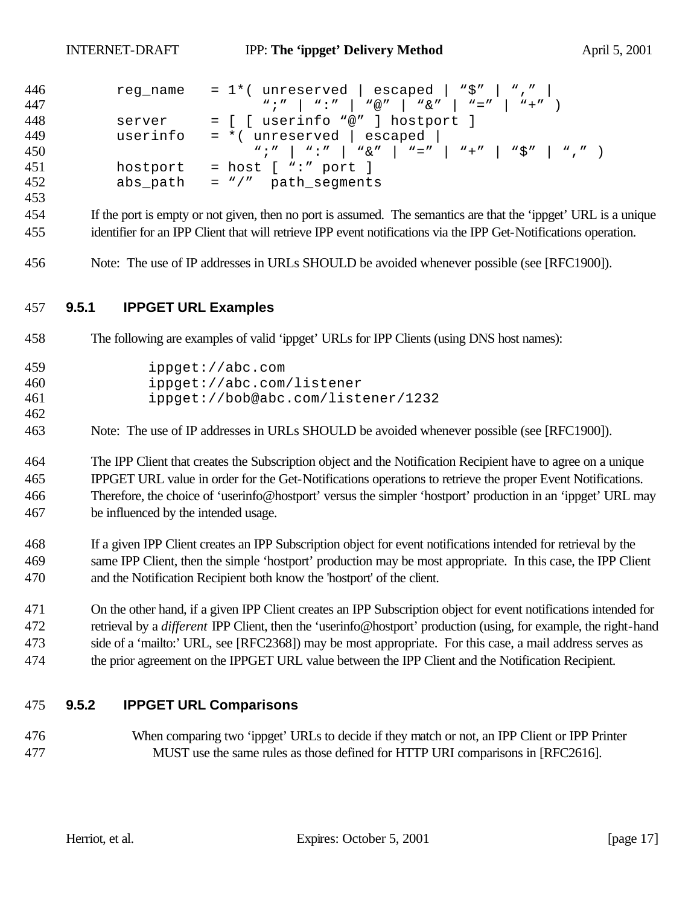| 446 | reg name | = 1*( <code>unreserved</code>   <code>escaped</code>   "\$"   ","        |
|-----|----------|--------------------------------------------------------------------------|
| 447 |          | $W; N \mid W: N \mid W \otimes N \mid W \otimes N \mid W = N \mid W + N$ |
| 448 | server   | = [ [ userinfo "@" ] hostport ]                                          |
| 449 | userinfo | $=$ *( unreserved   escaped                                              |
| 450 |          |                                                                          |
| 451 |          | hostport = host $[$ ":" port $]$                                         |
| 452 |          | $abs\_path = "/*$ path_segments                                          |

- If the port is empty or not given, then no port is assumed. The semantics are that the 'ippget' URL is a unique identifier for an IPP Client that will retrieve IPP event notifications via the IPP Get-Notifications operation.
- Note: The use of IP addresses in URLs SHOULD be avoided whenever possible (see [RFC1900]).

#### **9.5.1 IPPGET URL Examples**

The following are examples of valid 'ippget' URLs for IPP Clients (using DNS host names):

| 459 | ippget://abc.com                   |
|-----|------------------------------------|
| 460 | ippect://abc.com/listener          |
| 461 | ippget://bob@abc.com/listener/1232 |

Note: The use of IP addresses in URLs SHOULD be avoided whenever possible (see [RFC1900]).

 The IPP Client that creates the Subscription object and the Notification Recipient have to agree on a unique IPPGET URL value in order for the Get-Notifications operations to retrieve the proper Event Notifications. Therefore, the choice of 'userinfo@hostport' versus the simpler 'hostport' production in an 'ippget' URL may be influenced by the intended usage.

 If a given IPP Client creates an IPP Subscription object for event notifications intended for retrieval by the same IPP Client, then the simple 'hostport' production may be most appropriate. In this case, the IPP Client and the Notification Recipient both know the 'hostport' of the client.

 On the other hand, if a given IPP Client creates an IPP Subscription object for event notifications intended for retrieval by a *different* IPP Client, then the 'userinfo@hostport' production (using, for example, the right-hand side of a 'mailto:' URL, see [RFC2368]) may be most appropriate. For this case, a mail address serves as the prior agreement on the IPPGET URL value between the IPP Client and the Notification Recipient.

#### **9.5.2 IPPGET URL Comparisons**

 When comparing two 'ippget' URLs to decide if they match or not, an IPP Client or IPP Printer MUST use the same rules as those defined for HTTP URI comparisons in [RFC2616].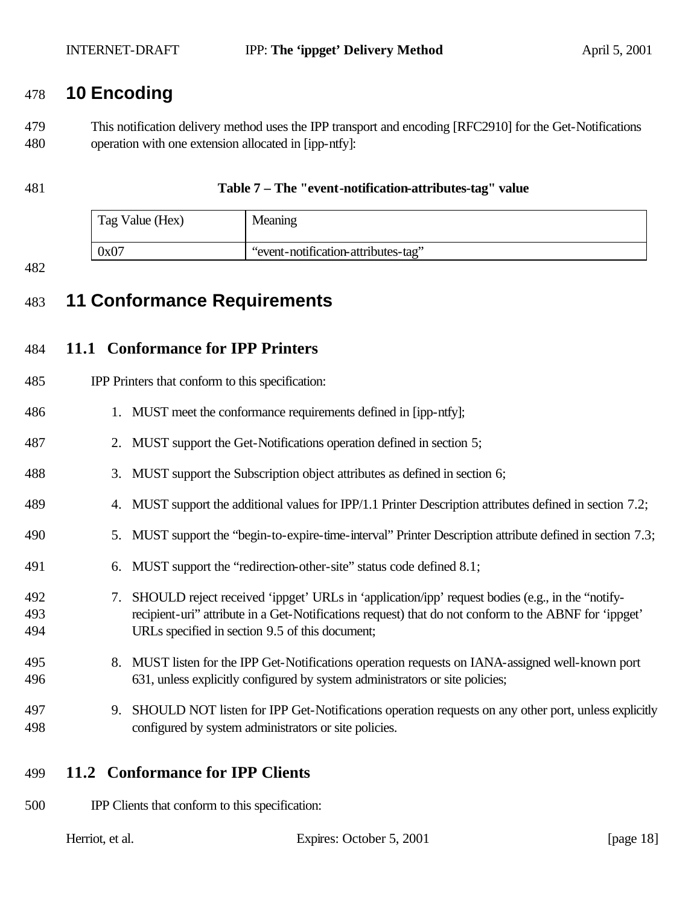## **10 Encoding**

 This notification delivery method uses the IPP transport and encoding [RFC2910] for the Get-Notifications operation with one extension allocated in [ipp-ntfy]:

#### **Table 7 – The "event-notification-attributes-tag" value**

| Tag Value (Hex) | Meaning                             |
|-----------------|-------------------------------------|
| 0x07            | "event-notification-attributes-tag" |

#### 

# **11 Conformance Requirements**

## **11.1 Conformance for IPP Printers**

| 485        | IPP Printers that conform to this specification:                                                                                                                                                                |  |
|------------|-----------------------------------------------------------------------------------------------------------------------------------------------------------------------------------------------------------------|--|
| 486        | 1. MUST meet the conformance requirements defined in [ipp-ntfy];                                                                                                                                                |  |
| 487        | 2. MUST support the Get-Notifications operation defined in section 5;                                                                                                                                           |  |
| 488        | 3. MUST support the Subscription object attributes as defined in section 6;                                                                                                                                     |  |
| 489        | 4. MUST support the additional values for IPP/1.1 Printer Description attributes defined in section 7.2;                                                                                                        |  |
| 490        | 5. MUST support the "begin-to-expire-time-interval" Printer Description attribute defined in section 7.3;                                                                                                       |  |
| 491        | 6. MUST support the "redirection-other-site" status code defined 8.1;                                                                                                                                           |  |
| 492<br>493 | SHOULD reject received 'ippget' URLs in 'application' ipp' request bodies (e.g., in the "notify-<br>7.<br>recipient-uri" attribute in a Get-Notifications request) that do not conform to the ABNF for 'ippget' |  |
| 494        | URLs specified in section 9.5 of this document;                                                                                                                                                                 |  |

#### 8. MUST listen for the IPP Get-Notifications operation requests on IANA-assigned well-known port 631, unless explicitly configured by system administrators or site policies;

- 9. SHOULD NOT listen for IPP Get-Notifications operation requests on any other port, unless explicitly configured by system administrators or site policies.
- **11.2 Conformance for IPP Clients**
- IPP Clients that conform to this specification:

| Herriot, et al. |  |  |  |
|-----------------|--|--|--|
|-----------------|--|--|--|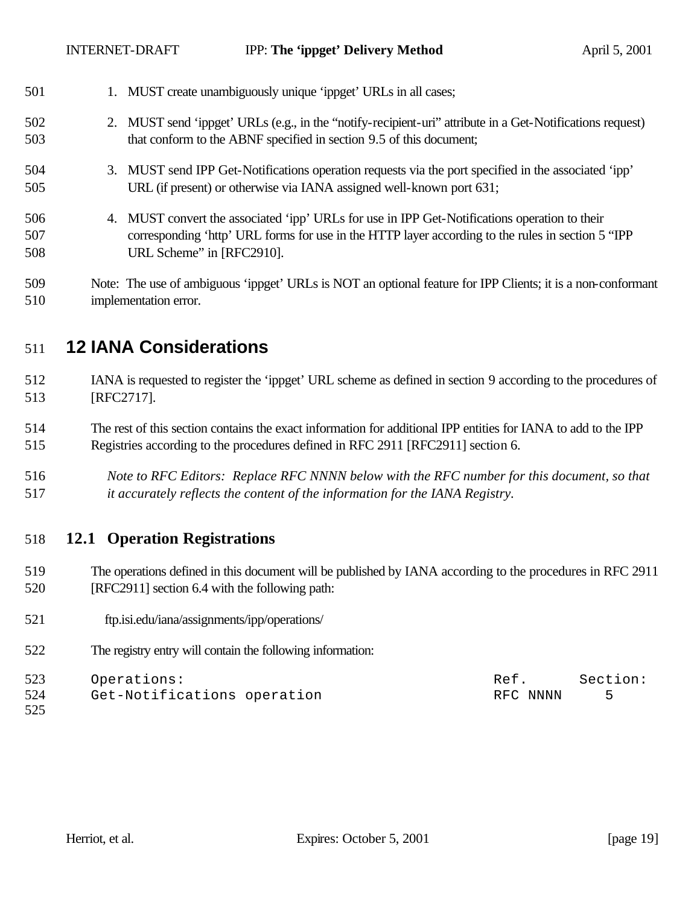| 501               | 1. MUST create unambiguously unique 'ippget' URLs in all cases;                                                                                                                                                                  |
|-------------------|----------------------------------------------------------------------------------------------------------------------------------------------------------------------------------------------------------------------------------|
| 502<br>503        | 2. MUST send 'ippget' URLs (e.g., in the "notify-recipient-uri" attribute in a Get-Notifications request)<br>that conform to the ABNF specified in section 9.5 of this document;                                                 |
| 504<br>505        | 3. MUST send IPP Get-Notifications operation requests via the port specified in the associated 'ipp'<br>URL (if present) or otherwise via IANA assigned well-known port 631;                                                     |
| 506<br>507<br>508 | 4. MUST convert the associated 'ipp' URLs for use in IPP Get-Notifications operation to their<br>corresponding 'http' URL forms for use in the HTTP layer according to the rules in section 5 "IPP"<br>URL Scheme" in [RFC2910]. |
| 509               | Note: The use of ambiguous 'ippget' URLs is NOT an optional feature for IPP Clients; it is a non-conformant                                                                                                                      |

# **12 IANA Considerations**

implementation error.

- IANA is requested to register the 'ippget' URL scheme as defined in section 9 according to the procedures of [RFC2717].
- The rest of this section contains the exact information for additional IPP entities for IANA to add to the IPP Registries according to the procedures defined in RFC 2911 [RFC2911] section 6.
- *Note to RFC Editors: Replace RFC NNNN below with the RFC number for this document, so that it accurately reflects the content of the information for the IANA Registry.*

## **12.1 Operation Registrations**

- The operations defined in this document will be published by IANA according to the procedures in RFC 2911 [RFC2911] section 6.4 with the following path:
- 521 ftp.isi.edu/iana/assignments/ipp/operations/
- The registry entry will contain the following information:

| 523 | Operations:                 | Ref.     | Section: |
|-----|-----------------------------|----------|----------|
| 524 | Get-Notifications operation | RFC NNNN |          |
| 525 |                             |          |          |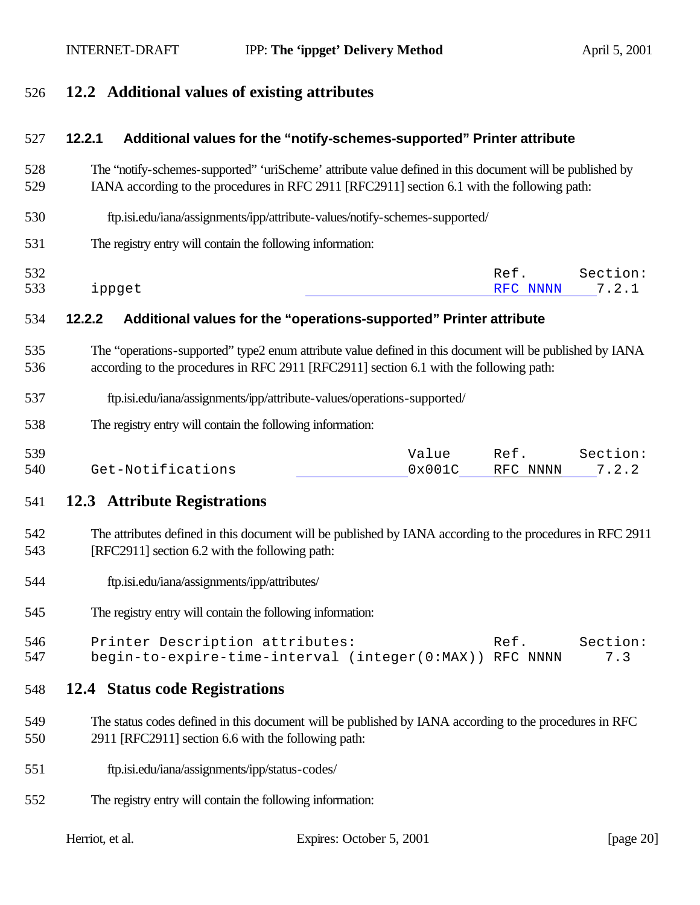## **12.2 Additional values of existing attributes**

#### **12.2.1 Additional values for the "notify-schemes-supported" Printer attribute**

- The "notify-schemes-supported" 'uriScheme' attribute value defined in this document will be published by IANA according to the procedures in RFC 2911 [RFC2911] section 6.1 with the following path:
- ftp.isi.edu/iana/assignments/ipp/attribute-values/notify-schemes-supported/
- The registry entry will contain the following information:

| 532 |               | Ref.     | Section: |
|-----|---------------|----------|----------|
| 533 | <i>ippget</i> | RFC NNNN | 72       |

#### **12.2.2 Additional values for the "operations-supported" Printer attribute**

- The "operations-supported" type2 enum attribute value defined in this document will be published by IANA according to the procedures in RFC 2911 [RFC2911] section 6.1 with the following path:
- ftp.isi.edu/iana/assignments/ipp/attribute-values/operations-supported/
- The registry entry will contain the following information:

| 539 |                   | Value           | Ref.     | Section: |
|-----|-------------------|-----------------|----------|----------|
| 540 | Get-Notifications | $0 \times 001C$ | RFC NNNN | 7.2.2    |

#### **12.3 Attribute Registrations**

- The attributes defined in this document will be published by IANA according to the procedures in RFC 2911 [RFC2911] section 6.2 with the following path:
- ftp.isi.edu/iana/assignments/ipp/attributes/
- The registry entry will contain the following information:

| 546 | Printer Description attributes:                         | Ref. | Section: |
|-----|---------------------------------------------------------|------|----------|
| 547 | begin-to-expire-time-interval (integer(0:MAX)) RFC NNNN |      | 7.3      |

#### **12.4 Status code Registrations**

- The status codes defined in this document will be published by IANA according to the procedures in RFC 2911 [RFC2911] section 6.6 with the following path:
- ftp.isi.edu/iana/assignments/ipp/status-codes/
- The registry entry will contain the following information: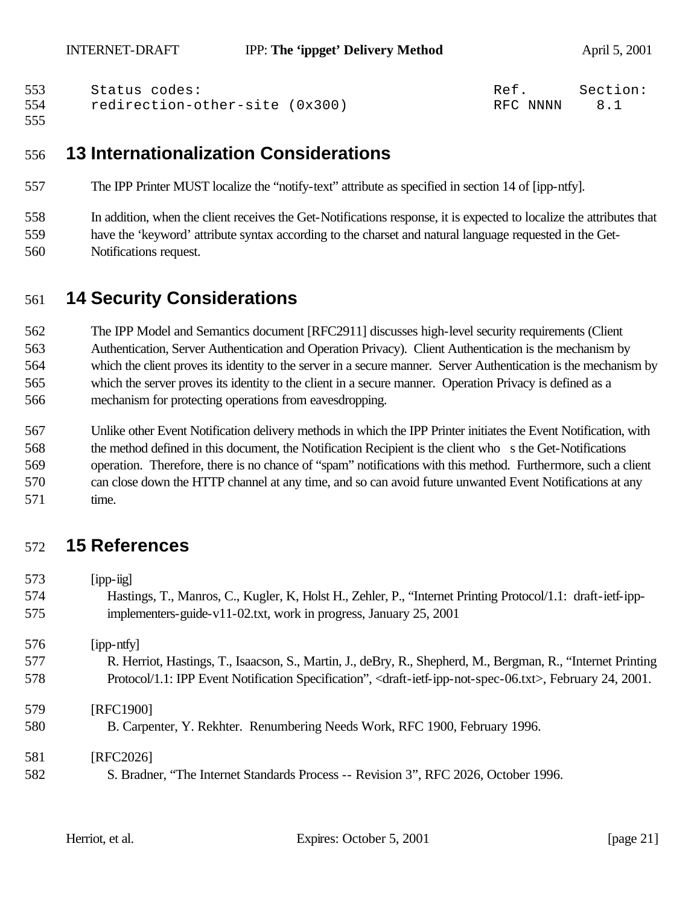| 553 | Status codes:                  | Ref.     | Section: |
|-----|--------------------------------|----------|----------|
| 554 | redirection-other-site (0x300) | RFC NNNN |          |

## **13 Internationalization Considerations**

- The IPP Printer MUST localize the "notify-text" attribute as specified in section 14 of [ipp-ntfy].
- In addition, when the client receives the Get-Notifications response, it is expected to localize the attributes that have the 'keyword' attribute syntax according to the charset and natural language requested in the Get-Notifications request.

# **14 Security Considerations**

 The IPP Model and Semantics document [RFC2911] discusses high-level security requirements (Client Authentication, Server Authentication and Operation Privacy). Client Authentication is the mechanism by which the client proves its identity to the server in a secure manner. Server Authentication is the mechanism by which the server proves its identity to the client in a secure manner. Operation Privacy is defined as a mechanism for protecting operations from eavesdropping.

 Unlike other Event Notification delivery methods in which the IPP Printer initiates the Event Notification, with the method defined in this document, the Notification Recipient is the client who s the Get-Notifications operation. Therefore, there is no chance of "spam" notifications with this method. Furthermore, such a client can close down the HTTP channel at any time, and so can avoid future unwanted Event Notifications at any time.

# **15 References**

| 573 | $[$ ipp- $\text{lig}$ ]                                                                                                                    |
|-----|--------------------------------------------------------------------------------------------------------------------------------------------|
| 574 | Hastings, T., Manros, C., Kugler, K., Holst H., Zehler, P., "Internet Printing Protocol/1.1: draft-ietf-ipp-                               |
| 575 | implementers-guide-v11-02.txt, work in progress, January 25, 2001                                                                          |
| 576 | [ipp-ntfy]                                                                                                                                 |
| 577 | R. Herriot, Hastings, T., Isaacson, S., Martin, J., deBry, R., Shepherd, M., Bergman, R., "Internet Printing                               |
| 578 | Protocol/1.1: IPP Event Notification Specification", <draft-ietf-ipp-not-spec-06.txt>, February 24, 2001.</draft-ietf-ipp-not-spec-06.txt> |
| 579 | [RFC1900]                                                                                                                                  |
| 580 | B. Carpenter, Y. Rekhter. Renumbering Needs Work, RFC 1900, February 1996.                                                                 |
| 581 | [RFC2026]                                                                                                                                  |
| 582 | S. Bradner, "The Internet Standards Process -- Revision 3", RFC 2026, October 1996.                                                        |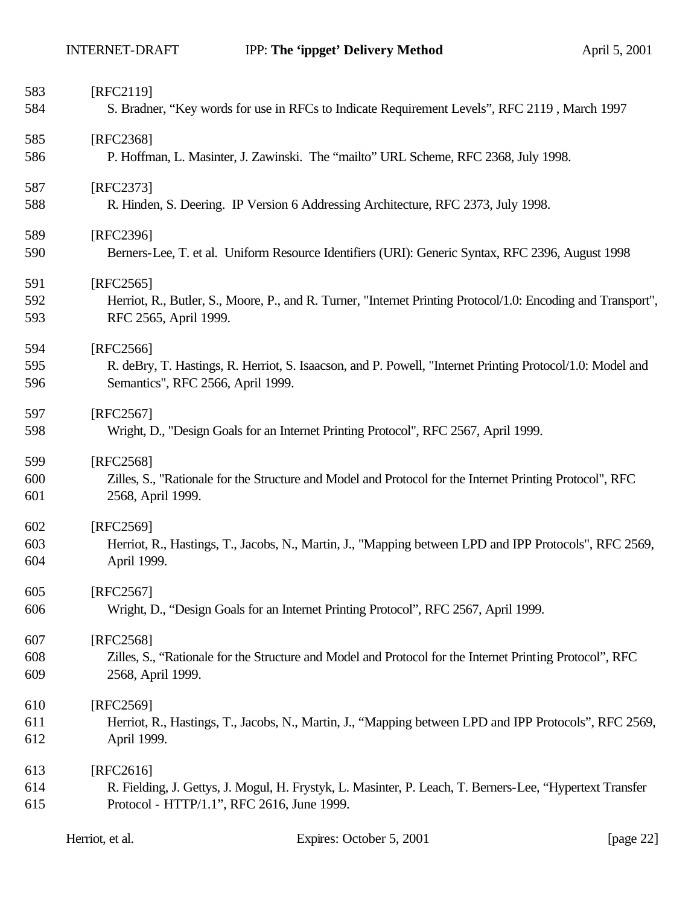| 583        | [RFC2119]                                                                                                                                      |
|------------|------------------------------------------------------------------------------------------------------------------------------------------------|
| 584        | S. Bradner, "Key words for use in RFCs to Indicate Requirement Levels", RFC 2119, March 1997                                                   |
| 585        | [RFC2368]                                                                                                                                      |
| 586        | P. Hoffman, L. Masinter, J. Zawinski. The "mailto" URL Scheme, RFC 2368, July 1998.                                                            |
| 587        | [RFC2373]                                                                                                                                      |
| 588        | R. Hinden, S. Deering. IP Version 6 Addressing Architecture, RFC 2373, July 1998.                                                              |
| 589        | [RFC2396]                                                                                                                                      |
| 590        | Berners-Lee, T. et al. Uniform Resource Identifiers (URI): Generic Syntax, RFC 2396, August 1998                                               |
| 591        | [RFC2565]                                                                                                                                      |
| 592<br>593 | Herriot, R., Butler, S., Moore, P., and R. Turner, "Internet Printing Protocol/1.0: Encoding and Transport",<br>RFC 2565, April 1999.          |
| 594        | [RFC2566]                                                                                                                                      |
| 595<br>596 | R. deBry, T. Hastings, R. Herriot, S. Isaacson, and P. Powell, "Internet Printing Protocol/1.0: Model and<br>Semantics", RFC 2566, April 1999. |
|            |                                                                                                                                                |
| 597        | [RFC2567]                                                                                                                                      |
| 598        | Wright, D., "Design Goals for an Internet Printing Protocol", RFC 2567, April 1999.                                                            |
| 599        | [RFC2568]                                                                                                                                      |
| 600        | Zilles, S., "Rationale for the Structure and Model and Protocol for the Internet Printing Protocol", RFC                                       |
| 601        | 2568, April 1999.                                                                                                                              |
| 602        | [RFC2569]                                                                                                                                      |
| 603        | Herriot, R., Hastings, T., Jacobs, N., Martin, J., "Mapping between LPD and IPP Protocols", RFC 2569,                                          |
| 604        | April 1999.                                                                                                                                    |
| 605        | [RFC2567]                                                                                                                                      |
| 606        | Wright, D., "Design Goals for an Internet Printing Protocol", RFC 2567, April 1999.                                                            |
| 607        | [RFC2568]                                                                                                                                      |
| 608        | Zilles, S., "Rationale for the Structure and Model and Protocol for the Internet Printing Protocol", RFC                                       |
| 609        | 2568, April 1999.                                                                                                                              |
| 610        | [RFC2569]                                                                                                                                      |
| 611        | Herriot, R., Hastings, T., Jacobs, N., Martin, J., "Mapping between LPD and IPP Protocols", RFC 2569,                                          |
| 612        | April 1999.                                                                                                                                    |
| 613        | $[RFC2616]$                                                                                                                                    |
| 614        | R. Fielding, J. Gettys, J. Mogul, H. Frystyk, L. Masinter, P. Leach, T. Berners-Lee, "Hypertext Transfer                                       |
| 615        | Protocol - HTTP/1.1", RFC 2616, June 1999.                                                                                                     |
|            |                                                                                                                                                |

| Herriot, et al. | Expires: October 5, 2001 | [page $22$ ] |
|-----------------|--------------------------|--------------|
|                 |                          |              |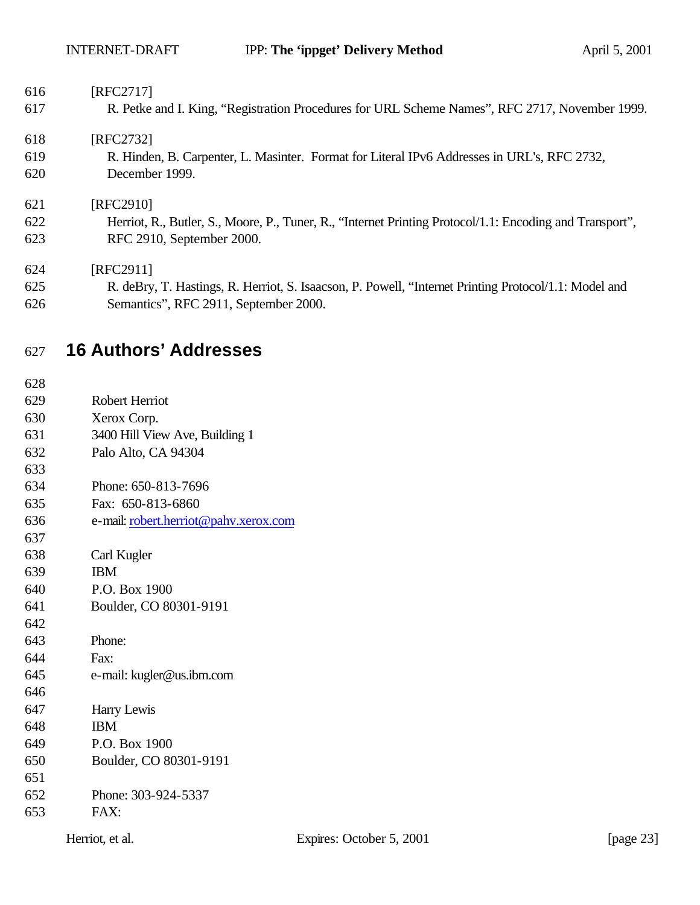| 616 | [RFC2717]                                                                                                |
|-----|----------------------------------------------------------------------------------------------------------|
| 617 | R. Petke and I. King, "Registration Procedures for URL Scheme Names", RFC 2717, November 1999.           |
| 618 | [RFC2732]                                                                                                |
| 619 | R. Hinden, B. Carpenter, L. Masinter. Format for Literal IPv6 Addresses in URL's, RFC 2732,              |
| 620 | December 1999.                                                                                           |
| 621 | [RFC2910]                                                                                                |
| 622 | Herriot, R., Butler, S., Moore, P., Tuner, R., "Internet Printing Protocol/1.1: Encoding and Transport", |
| 623 | RFC 2910, September 2000.                                                                                |
| 624 | [RFC2911]                                                                                                |
| 625 | R. deBry, T. Hastings, R. Herriot, S. Isaacson, P. Powell, "Internet Printing Protocol/1.1: Model and    |
| 626 | Semantics", RFC 2911, September 2000.                                                                    |
| 627 | <b>16 Authors' Addresses</b>                                                                             |
| 628 |                                                                                                          |
| 629 | Robert Herriot                                                                                           |
| 630 | Xerox Corp.                                                                                              |

- 3400 Hill View Ave, Building 1
- Palo Alto, CA 94304
- 
- Phone: 650-813-7696
- Fax: 650-813-6860
- e-mail: robert.herriot@pahv.xerox.com
- Carl Kugler
- IBM
- P.O. Box 1900
- Boulder, CO 80301-9191
- Phone:
- Fax:
- e-mail: kugler@us.ibm.com
- Harry Lewis
- IBM
- P.O. Box 1900
- Boulder, CO 80301-9191
- Phone: 303-924-5337
- FAX: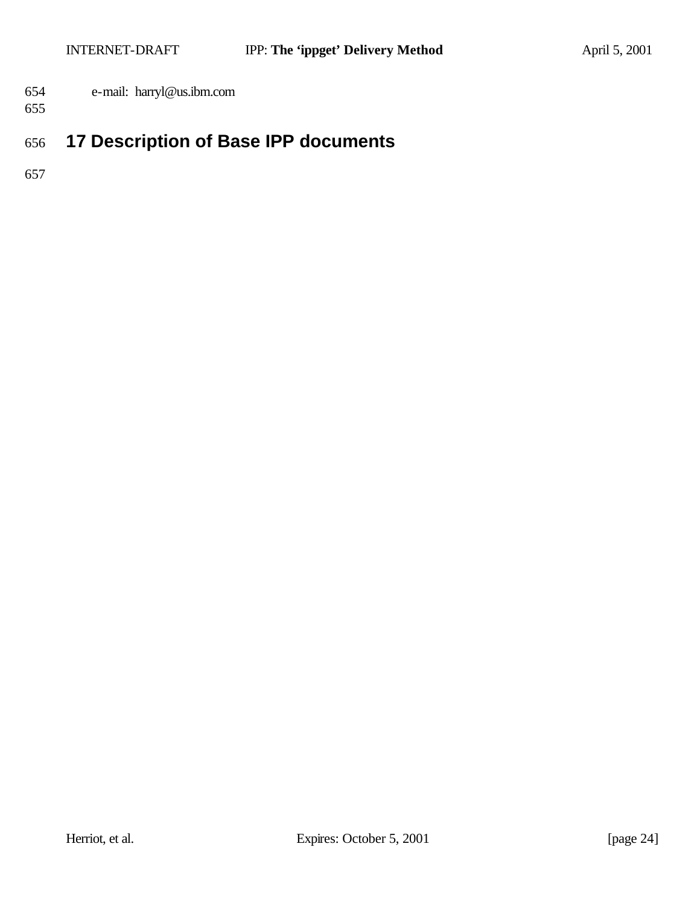- e-mail: harryl@us.ibm.com
- 

# **17 Description of Base IPP documents**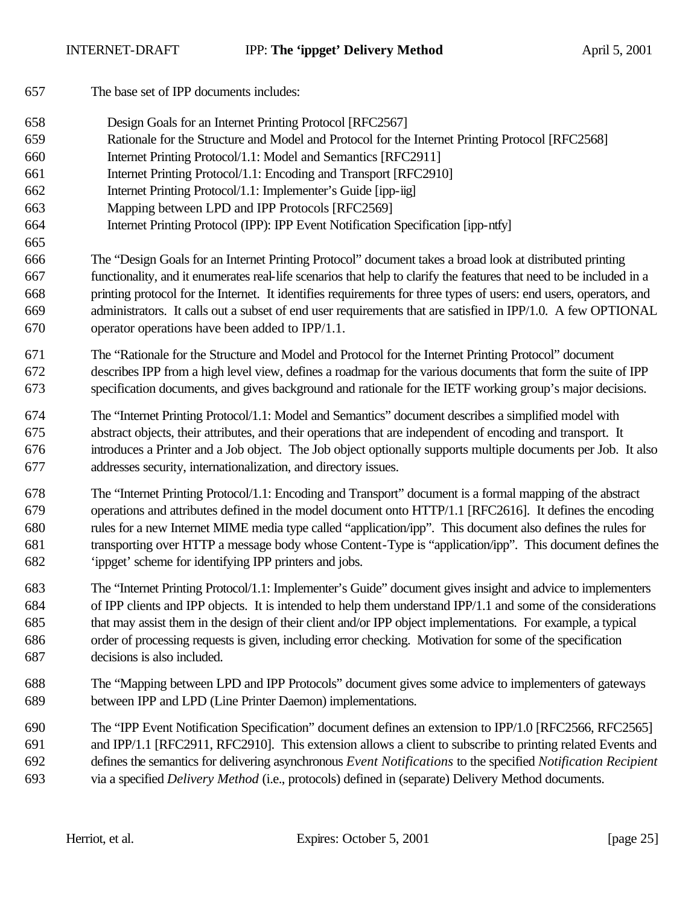The base set of IPP documents includes: Design Goals for an Internet Printing Protocol [RFC2567] Rationale for the Structure and Model and Protocol for the Internet Printing Protocol [RFC2568] Internet Printing Protocol/1.1: Model and Semantics [RFC2911] Internet Printing Protocol/1.1: Encoding and Transport [RFC2910] Internet Printing Protocol/1.1: Implementer's Guide [ipp-iig] Mapping between LPD and IPP Protocols [RFC2569] Internet Printing Protocol (IPP): IPP Event Notification Specification [ipp-ntfy] The "Design Goals for an Internet Printing Protocol" document takes a broad look at distributed printing functionality, and it enumerates real-life scenarios that help to clarify the features that need to be included in a printing protocol for the Internet. It identifies requirements for three types of users: end users, operators, and administrators. It calls out a subset of end user requirements that are satisfied in IPP/1.0. A few OPTIONAL operator operations have been added to IPP/1.1. The "Rationale for the Structure and Model and Protocol for the Internet Printing Protocol" document describes IPP from a high level view, defines a roadmap for the various documents that form the suite of IPP specification documents, and gives background and rationale for the IETF working group's major decisions. The "Internet Printing Protocol/1.1: Model and Semantics" document describes a simplified model with abstract objects, their attributes, and their operations that are independent of encoding and transport. It introduces a Printer and a Job object. The Job object optionally supports multiple documents per Job. It also addresses security, internationalization, and directory issues. The "Internet Printing Protocol/1.1: Encoding and Transport" document is a formal mapping of the abstract operations and attributes defined in the model document onto HTTP/1.1 [RFC2616]. It defines the encoding rules for a new Internet MIME media type called "application/ipp". This document also defines the rules for transporting over HTTP a message body whose Content-Type is "application/ipp". This document defines the 'ippget' scheme for identifying IPP printers and jobs. The "Internet Printing Protocol/1.1: Implementer's Guide" document gives insight and advice to implementers of IPP clients and IPP objects. It is intended to help them understand IPP/1.1 and some of the considerations that may assist them in the design of their client and/or IPP object implementations. For example, a typical order of processing requests is given, including error checking. Motivation for some of the specification decisions is also included. The "Mapping between LPD and IPP Protocols" document gives some advice to implementers of gateways between IPP and LPD (Line Printer Daemon) implementations. The "IPP Event Notification Specification" document defines an extension to IPP/1.0 [RFC2566, RFC2565] and IPP/1.1 [RFC2911, RFC2910]. This extension allows a client to subscribe to printing related Events and defines the semantics for delivering asynchronous *Event Notifications* to the specified *Notification Recipient* via a specified *Delivery Method* (i.e., protocols) defined in (separate) Delivery Method documents.